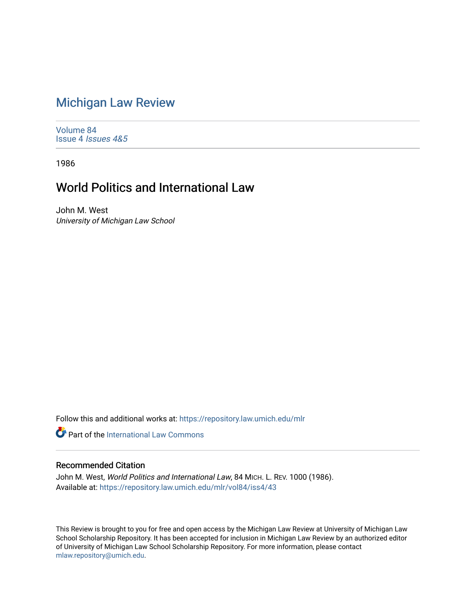## [Michigan Law Review](https://repository.law.umich.edu/mlr)

[Volume 84](https://repository.law.umich.edu/mlr/vol84) Issue 4 [Issues 4&5](https://repository.law.umich.edu/mlr/vol84/iss4) 

1986

## World Politics and International Law

John M. West University of Michigan Law School

Follow this and additional works at: [https://repository.law.umich.edu/mlr](https://repository.law.umich.edu/mlr?utm_source=repository.law.umich.edu%2Fmlr%2Fvol84%2Fiss4%2F43&utm_medium=PDF&utm_campaign=PDFCoverPages) 

**Part of the International Law Commons** 

## Recommended Citation

John M. West, World Politics and International Law, 84 MICH. L. REV. 1000 (1986). Available at: [https://repository.law.umich.edu/mlr/vol84/iss4/43](https://repository.law.umich.edu/mlr/vol84/iss4/43?utm_source=repository.law.umich.edu%2Fmlr%2Fvol84%2Fiss4%2F43&utm_medium=PDF&utm_campaign=PDFCoverPages) 

This Review is brought to you for free and open access by the Michigan Law Review at University of Michigan Law School Scholarship Repository. It has been accepted for inclusion in Michigan Law Review by an authorized editor of University of Michigan Law School Scholarship Repository. For more information, please contact [mlaw.repository@umich.edu.](mailto:mlaw.repository@umich.edu)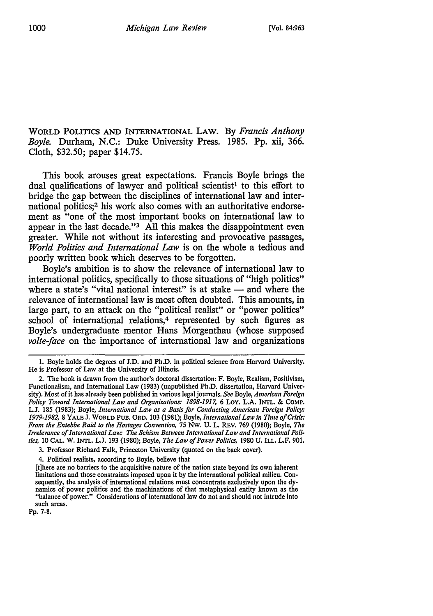WORLD POLITICS AND INTERNATIONAL LAW. By *Francis Anthony Boyle.* Durham, N.C.: Duke University Press. 1985. Pp. xii, 366. Cloth, \$32.50; paper \$14.75.

This book arouses great expectations. Francis Boyle brings the dual qualifications of lawyer and political scientist<sup>1</sup> to this effort to bridge the gap between the disciplines of international law and international politics;2 his work also comes with an authoritative endorsement as "one of the most important books on international law to appear in the last decade."3 All this makes the disappointment even greater. While not without its interesting and provocative passages, *World Politics and International Law* is on the whole a tedious and poorly written book which deserves to be forgotten.

Boyle's ambition is to show the relevance of international law to international politics, specifically to those situations of "high politics" where a state's "vital national interest" is at stake  $-$  and where the relevance of international law is most often doubted. This amounts, in large part, to an attack on the "political realist" or "power politics" school of international relations,<sup>4</sup> represented by such figures as Boyle's undergraduate mentor Hans Morgenthau (whose supposed *volte-face* on the importance of international law and organizations

3. Professor Richard Falk, Princeton University (quoted on the back cover).

4. Political realists, according to Boyle, believe that

[t]here are no barriers to the acquisitive nature of the nation state beyond its own inherent limitations and those constraints imposed upon it by the international political milieu. Con· sequently, the analysis of international relations must concentrate exclusively upon the dynamics of power politics and the machinations of that metaphysical entity known as the "balance of power." Considerations of international law do not and should not intrude into such areas.

Pp. 7-8.

<sup>1.</sup> Boyle holds the degrees of J.D. and Ph.D. in political science from Harvard University. He is Professor of Law at the University of Illinois.

<sup>2.</sup> The book is drawn from the author's doctoral dissertation: F. Boyle, Realism, Positivism, Functionalism, and International Law (1983) (unpublished Ph.D. dissertation, Harvard Univer· sity). Most of it has already been published in various legal journals. *See* Boyle, *American Foreign Policy Toward International Law and Organizations: 1898-1917,* 6 LOY. L.A. INTL. & COMP. L.J. 185 (1983); Boyle, *International Law as a Basis for Conducting American Foreign Policy: 1979-1982,* 8 YALE J. WORLD PUB. ORD. 103 (1981); Boyle, *International Law in Time of Crisis: From the Entebbe Raid to the Hostages Convention, 15* Nw. U. L. REV. 769 (1980); Boyle, *The Irrelevance of International Law: The Schism Between International Law and International Poli· tics,* 10 CAL. W. INTL. L.J. 193 (1980); Boyle, *The Law of Power Politics,* 1980 U. ILL. L.F. 901.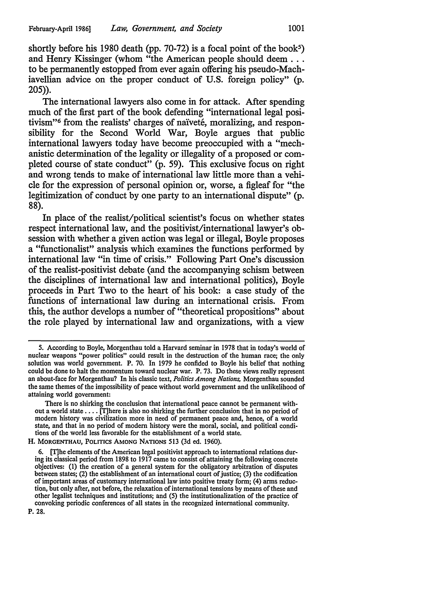shortly before his 1980 death (pp. 70-72) is a focal point of the book<sup>5</sup>) and Henry Kissinger (whom "the American people should deem ... to be permanently estopped from ever again offering his pseudo-Machiavellian advice on the proper conduct of U.S. foreign policy" (p. 205)).

The international lawyers also come in for attack. After spending much of the first part of the book defending "international legal positivism"<sup>6</sup> from the realists' charges of naïveté, moralizing, and responsibility for the Second World War, Boyle argues that public international lawyers today have become preoccupied with a "mechanistic determination of the legality or illegality of a proposed or completed course of state conduct" (p. 59). This exclusive focus on right and wrong tends to make of international law little more than a vehicle for the expression of personal opinion or, worse, a figleaf for "the legitimization of conduct by one party to an international dispute" (p. 88).

In place of the realist/political scientist's focus on whether states respect international law, and the positivist/international lawyer's obsession with whether a given action was legal or illegal, Boyle proposes a "functionalist" analysis which examines the functions performed by international law "in time of crisis." Following Part One's discussion of the realist-positivist debate (and the accompanying schism between the disciplines of international law and international politics), Boyle proceeds in Part Two to the heart of his book: a case study of the functions of international law during an international crisis. From this, the author develops a number of "theoretical propositions" about the role played by international law and organizations, with a view

H. MORGENTHAU, POLITICS AMONG NATIONS 513 (3d ed. 1960).

P. 28.

<sup>5.</sup> According to Boyle, Morgenthau told a Harvard seminar in 1978 that in today's world of nuclear weapons "power politics" could result in the destruction of the human race; the only solution was world government. P. 70. In 1979 he confided to Boyle his belief that nothing could be done to halt the momentum toward nuclear war. P. 73. Do these views really represent an about-face for Morgenthau? In his classic text, *Politics Among Nations,* Morgenthau sounded the same themes of the impossibility of peace without world government and the unlikelihood of attaining world government:

There is no shirking the conclusion that international peace cannot be permanent without a world state ..•. [T]here is also no shirking the further conclusion that in no period of modem history was civilization more in need of permanent peace and, hence, of a world state, and that in no period of modem history were the moral, social, and political conditions of the world less favorable for the establishment of a world state.

<sup>6. [</sup>T]he elements of the American legal positivist approach to international relations during its classical period from 1898 to 1917 came to consist of attaining the following concrete objectives: (1) the creation of a general system for the obligatory arbitration of disputes between states; (2) the establishment of an international court of justice; (3) the codification of important areas of customary international law into positive treaty form; (4) arms reduction, but only after, not before, the relaxation of international tensions by means of these and other legalist techniques and institutions; and (5) the institutionalization of the practice of convoking periodic conferences of all states in the recognized international community.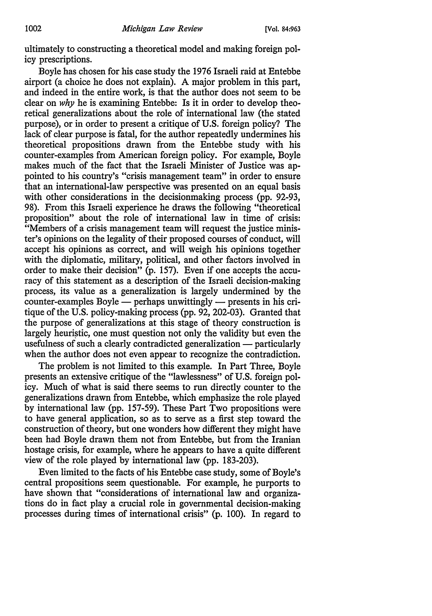ultimately to constructing a theoretical model and making foreign policy prescriptions.

Boyle has chosen for his case study the 1976 Israeli raid at Entebbe airport (a choice he does not explain). A major problem in this part, and indeed in the entire work, is that the author does not seem to be clear on *why* he is examining Entebbe: Is it in order to develop theoretical generalizations about the role of international law (the stated purpose), or in order to present a critique of U.S. foreign policy? The lack of clear purpose is fatal, for the author repeatedly undermines his theoretical propositions drawn from the Entebbe study with his counter-examples from American foreign policy. For example, Boyle makes much of the fact that the Israeli Minister of Justice was appointed to his country's "crisis management team" in order to ensure that an international-law perspective was presented on an equal basis with other considerations in the decisionmaking process (pp. 92-93, 98). From this Israeli experience he draws the following "theoretical proposition" about the role of international law in time of crisis: "Members of a crisis management team will request the justice minister's opinions on the legality of their proposed courses of conduct, will accept his opinions as correct, and will weigh his opinions together with the diplomatic, military, political, and other factors involved in order to make their decision" (p. 157). Even if one accepts the accuracy of this statement as a description of the Israeli decision-making process, its value as a generalization is largely undermined by the  $counter-examples Boyle$  - perhaps unwittingly - presents in his critique of the U.S. policy-making process (pp. 92, 202-03). Granted that the purpose of generalizations at this stage of theory construction is largely heuristic, one must question not only the validity but even the usefulness of such a clearly contradicted generalization  $-$  particularly when the author does not even appear to recognize the contradiction.

The problem is not limited to this example. In Part Three, Boyle presents an extensive critique of the "lawlessness" of U.S. foreign policy. Much of what is said there seems to run directly counter to the generalizations drawn from Entebbe, which emphasize the role played by international law (pp. 157-59). These Part Two propositions were to have general application, so as to serve as a first step toward the construction of theory, but one wonders how different they might have been had Boyle drawn them not from Entebbe, but from the Iranian hostage crisis, for example, where he appears to have a quite different view of the role played by international law (pp. 183-203).

Even limited to the facts of his Entebbe case study, some of Boyle's central propositions seem questionable. For example, he purports to have shown that "considerations of international law and organizations do in fact play a crucial role in governmental decision-making processes during times of international crisis" (p. 100). In regard to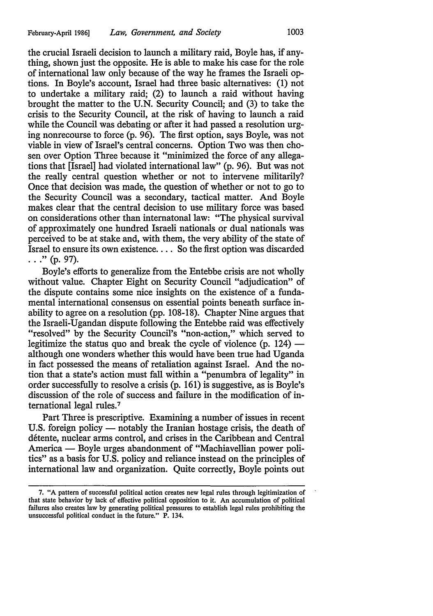the crucial Israeli decision to launch a military raid, Boyle has, if anything, shown just the opposite. He is able to make his case for the role of international law only because of the way he frames the Israeli options. In Boyle's account, Israel had three basic alternatives: (1) not to undertake a military raid; (2) to launch a raid without having brought the matter to the U.N. Security Council; and (3) to take the crisis to the Security Council, at the risk of having to launch a raid while the Council was debating or after it had passed a resolution urging nonrecourse to force (p. 96). The first option, says Boyle, was not viable in view of Israel's central concerns. Option Two was then chosen over Option Three because it "minimized the force of any allegations that [Israel] had violated international law" (p. 96). But was not the really central question whether or not to intervene militarily? Once that decision was made, the question of whether or not to go to the Security Council was a secondary, tactical matter. And Boyle makes clear that the central decision to use military force was based on considerations other than internatonal law: "The physical survival of approximately one hundred Israeli nationals or dual nationals was perceived to be at stake and, with them, the very ability of the state of Israel to ensure its own existence. . . . So the first option was discarded  $\ldots$  " (p. 97).

Boyle's efforts to generalize from the Entebbe crisis are not wholly without value. Chapter Eight on Security Council "adjudication" of the dispute contains some nice insights on the existence of a fundamental international consensus on essential points beneath surface inability to agree on a resolution (pp. 108-18). Chapter Nine argues that the Israeli-Ugandan dispute following the Entebbe raid was effectively "resolved" by the Security Council's "non-action," which served to legitimize the status quo and break the cycle of violence  $(p. 124)$  although one wonders whether this would have been true had Uganda in fact possessed the means of retaliation against Israel. And the notion that a state's action must fall within a "penumbra of legality" in order successfully to resolve a crisis (p. 161) is suggestive, as is Boyle's discussion of the role of success and failure in the modification of international legal rules. 7

Part Three is prescriptive. Examining a number of issues in recent U.S. foreign policy — notably the Iranian hostage crisis, the death of detente, nuclear arms control, and crises in the Caribbean and Central America - Boyle urges abandonment of "Machiavellian power politics" as a basis for U.S. policy and reliance instead on the principles of international law and organization. Quite correctly, Boyle points out

<sup>7. &</sup>quot;A pattern of successful political action creates new legal rules through legitimization of that state behavior by lack of effective political opposition to it. An accumulation of political failures also creates Jaw by generating political pressures to establish legal rules prohibiting the unsuccessful political conduct in the future." P. 134.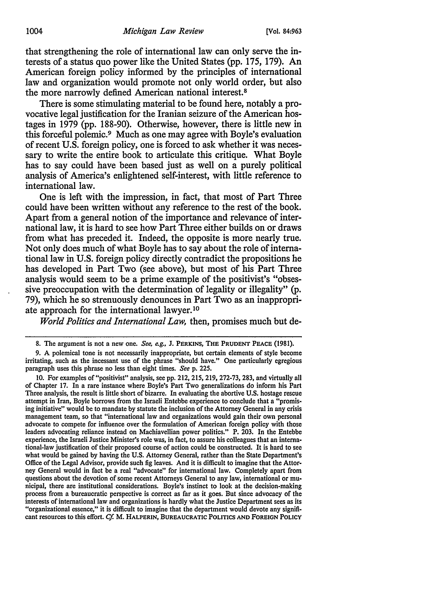that strengthening the role of international law can only serve the interests of a status quo power like the United States (pp. 175, 179). An American foreign policy informed by the principles of international law and organization would promote not only world order, but also the more narrowly defined American national interest.<sup>8</sup>

There is some stimulating material to be found here, notably a provocative legal justification for the Iranian seizure of the American hostages in 1979 (pp. 188-90). Otherwise, however, there is little new in this forceful polemic.9 Much as one may agree with Boyle's evaluation of recent U.S. foreign policy, one is forced to ask whether it was necessary to write the entire book to articulate this critique. What Boyle has to say could have been based just as well on a purely political analysis of America's enlightened self-interest, with little reference to international law.

One is left with the impression, in fact, that most of Part Three could have been written without any reference to the rest of the book. Apart from a general notion of the importance and relevance of international law, it is hard to see how Part Three either builds on or draws from what has preceded it. Indeed, the opposite is more nearly true. Not only does much of what Boyle has to say about the role of international law in U.S. foreign policy directly contradict the propositions he has developed in Part Two (see above), but most of his Part Three analysis would seem to be a prime example of the positivist's "obsessive preoccupation with the determination of legality or illegality" (p. 79), which he so strenuously denounces in Part Two as an inappropriate approach for the international lawyer. <sup>10</sup>

*World Politics and International Law,* then, promises much but de-

10. For examples of "positivist" analysis, see pp. 212, 215, 219, 272-73, 283, and virtually all of Chapter 17. In a rare instance where Boyle's Part Two generalizations do inform his Part Three analysis, the result is little short of bizarre. In evaluating the abortive U.S. hostage rescue attempt in Iran, Boyle borrows from the Israeli Entebbe experience to conclude that a "promising initiative" would be to mandate by statute the inclusion of the Attorney General in any crisis management team, so that "international law and organizations would gain their own personal advocate to compete for influence over the formulation of American foreign policy with those leaders advocating reliance instead on Machiavellian power politics." P. 203. In the Entebbe experience, the Israeli Justice Minister's role was, in fact, to assure his colleagues that an international-law justification of their proposed course of action could be constructed. It is hard to see what would be gained by having the U.S. Attorney General, rather than the State Department's Office of the Legal Advisor, provide such fig leaves. And it is difficult to imagine that the Attorney General would in fact be a real "advocate" for international law. Completely apart from questions about the devotion of some recent Attorneys General to any law, international or municipal, there are institutional considerations. Boyle's instinct to look at the decision-making process from a bureaucratic perspective is correct as far as it goes. But since advocacy of the interests of international law and organizations is hardly what the Justice Department sees as its "organizational essence," it is difficult to imagine that the department would devote any signifi· cant resources to this effort. *Cf* M. HALPERIN, BUREAUCRATIC POLITICS AND FOREIGN POLICY

<sup>8.</sup> The argument is not a new one. *See, e.g.*, J. PERKINS, THE PRUDENT PEACE (1981).

<sup>9.</sup> A polemical tone is not necessarily inappropriate, but certain elements of style become irritating, such as the incessant use of the phrase "should have." One particularly egregious paragraph uses this phrase no less than eight times. *See* p. 225.